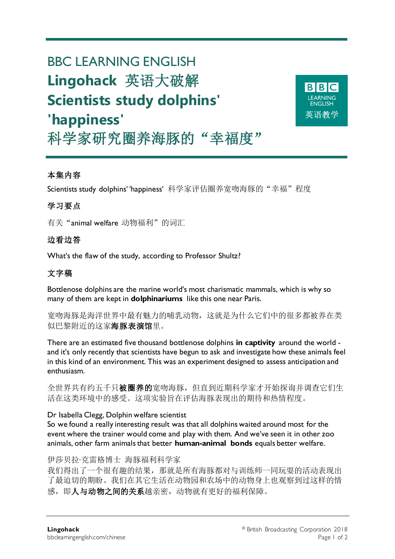# BBC LEARNING ENGLISH **Lingohack** 英语大破解 **Scientists study dolphins' 'happiness'** 科学家研究圈养海豚的"幸福度"



# 本集内容

Scientists study dolphins' 'happiness' 科学家评估圈养宽吻海豚的"幸福"程度

# 学习要点

有关"animal welfare 动物福利"的词汇

## 边看边答

What's the flaw of the study, according to Professor Shultz?

## 文字稿

Bottlenose dolphins are the marine world's most charismatic mammals, which is why so many of them are kept in **dolphinariums** like this one near Paris.

宽吻海豚是海洋世界中最有魅力的哺乳动物,这就是为什么它们中的很多都被养在类 似巴黎附近的这家海豚表演馆里。

There are an estimated five thousand bottlenose dolphins **in captivity** around the world and it's only recently that scientists have begun to ask and investigate how these animals feel in this kind of an environment. This was an experiment designed to assess anticipation and enthusiasm.

全世界共有约五千只被圈养的宽吻海豚,但直到近期科学家才开始探询并调查它们生 活在这类环境中的感受。这项实验旨在评估海豚表现出的期待和热情程度。

#### Dr Isabella Clegg, Dolphin welfare scientist

So we found a really interesting result was that all dolphins waited around most for the event where the trainer would come and play with them. And we've seen it in other zoo animals, other farm animals that better **human-animal bonds** equals better welfare.

#### 伊莎贝拉·克雷格博士 海豚福利科学家

我们得出了一个很有趣的结果,那就是所有海豚都对与训练师一同玩耍的活动表现出 了最迫切的期盼。我们在其它生活在动物园和农场中的动物身上也观察到过这样的情 感,即人与动物之间的关系越亲密,动物就有更好的福利保障。